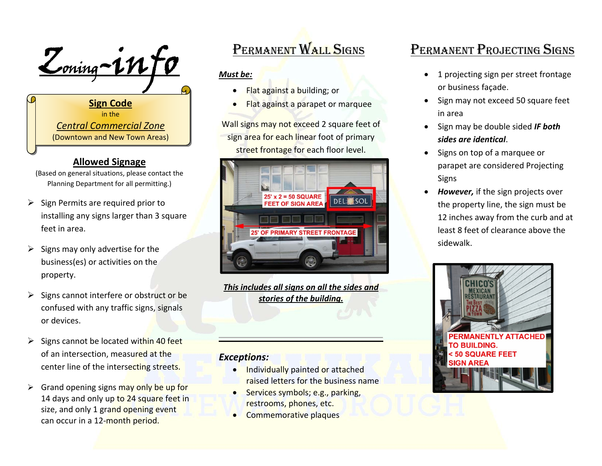$Z_{\text{o}}-1n f$ 

**Sign Code** in the *Central Commercial Zone* (Downtown and New Town Areas)

#### **Allowed Signage**

(Based on general situations, please contact the Planning Department for all permitting.)

- $\triangleright$  Sign Permits are required prior to installing any signs larger than 3 square feet in area.
- $\triangleright$  Signs may only advertise for the business(es) or activities on the property.
- $\triangleright$  Signs cannot interfere or obstruct or be confused with any traffic signs, signals or devices.
- > Signs cannot be located within 40 feet of an intersection, measu<mark>red at the</mark> center line of the interse<mark>ctin</mark>g st<mark>r</mark>eet<mark>s.</mark>
- > Grand opening signs may only be up for 14 days and only up to 24 square feet in size, and only 1 grand opening event can occur in a 12-<mark>month period.</mark>

# PERMANENT WALL SIGNS

### *Must be:*

- 0 Flat against <sup>a</sup> building; or
- . Flat against <sup>a</sup> parapet or marquee

Wall signs may not exceed 2 square feet of sign area for each linear foot of primary street frontage for each floor level.



*This includes all signs on all the sides and stories of the building.*

### *Exceptions:*

- **Individually painted or attached** raised letters for the business name
- . Services symbols; e.g., parking, restrooms, phones, etc.
- **Commemorative plaques**

# PERMANENT PROJECTING SIGNS

- 1 projecting sign per street frontage or business façade.
- Sign may not exceed 50 square feet in area
- **•** Sign may be double sided **IF both** *sides are identical*.
- Signs on top of a marquee or parapet are considered Projecting Signs
- *However,* if the sign projects over the property line, the sign must be 12 inches away from the curb and at least 8 feet of clearance above the sidewalk.